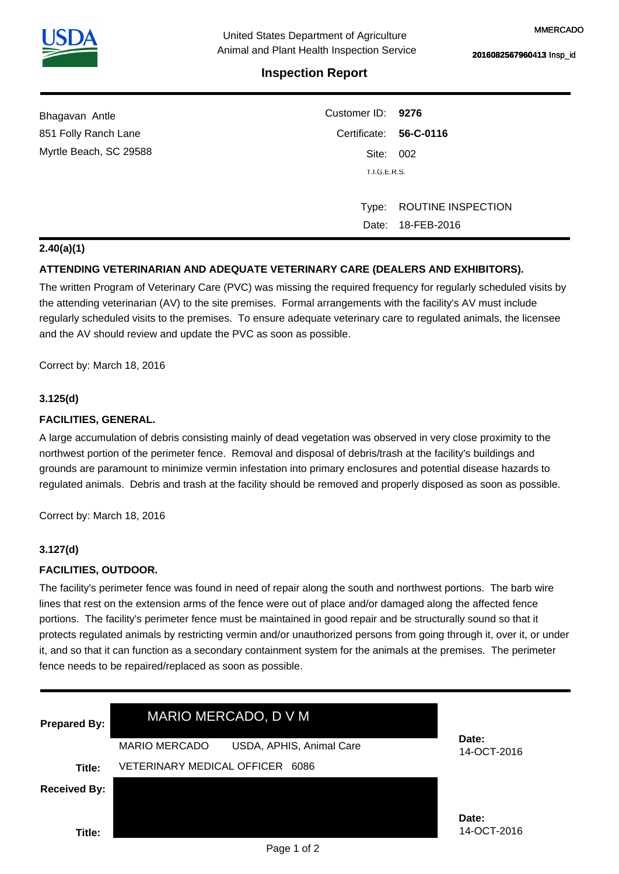

# **Inspection Report**

| Bhagavan Antle         | Customer ID: 9276      |                          |  |
|------------------------|------------------------|--------------------------|--|
| 851 Folly Ranch Lane   | Certificate: 56-C-0116 |                          |  |
| Myrtle Beach, SC 29588 | Site: 002              |                          |  |
|                        | T.I.G.E.R.S.           |                          |  |
|                        |                        |                          |  |
|                        |                        | Type: ROUTINE INSPECTION |  |
|                        |                        | Date: 18-FEB-2016        |  |

### **2.40(a)(1)**

## **ATTENDING VETERINARIAN AND ADEQUATE VETERINARY CARE (DEALERS AND EXHIBITORS).**

The written Program of Veterinary Care (PVC) was missing the required frequency for regularly scheduled visits by the attending veterinarian (AV) to the site premises. Formal arrangements with the facility's AV must include regularly scheduled visits to the premises. To ensure adequate veterinary care to regulated animals, the licensee and the AV should review and update the PVC as soon as possible.

Correct by: March 18, 2016

### **3.125(d)**

### **FACILITIES, GENERAL.**

A large accumulation of debris consisting mainly of dead vegetation was observed in very close proximity to the northwest portion of the perimeter fence. Removal and disposal of debris/trash at the facility's buildings and grounds are paramount to minimize vermin infestation into primary enclosures and potential disease hazards to regulated animals. Debris and trash at the facility should be removed and properly disposed as soon as possible.

Correct by: March 18, 2016

### **3.127(d)**

#### **FACILITIES, OUTDOOR.**

The facility's perimeter fence was found in need of repair along the south and northwest portions. The barb wire lines that rest on the extension arms of the fence were out of place and/or damaged along the affected fence portions. The facility's perimeter fence must be maintained in good repair and be structurally sound so that it protects regulated animals by restricting vermin and/or unauthorized persons from going through it, over it, or under it, and so that it can function as a secondary containment system for the animals at the premises. The perimeter fence needs to be repaired/replaced as soon as possible.

| <b>Prepared By:</b> | MARIO MERCADO, D V M                             |                      |
|---------------------|--------------------------------------------------|----------------------|
|                     | <b>MARIO MERCADO</b><br>USDA, APHIS, Animal Care | Date:<br>14-OCT-2016 |
| Title:              | <b>VETERINARY MEDICAL OFFICER</b><br>6086        |                      |
| <b>Received By:</b> |                                                  |                      |
|                     |                                                  | Date:                |
| Title:              |                                                  | 14-OCT-2016          |